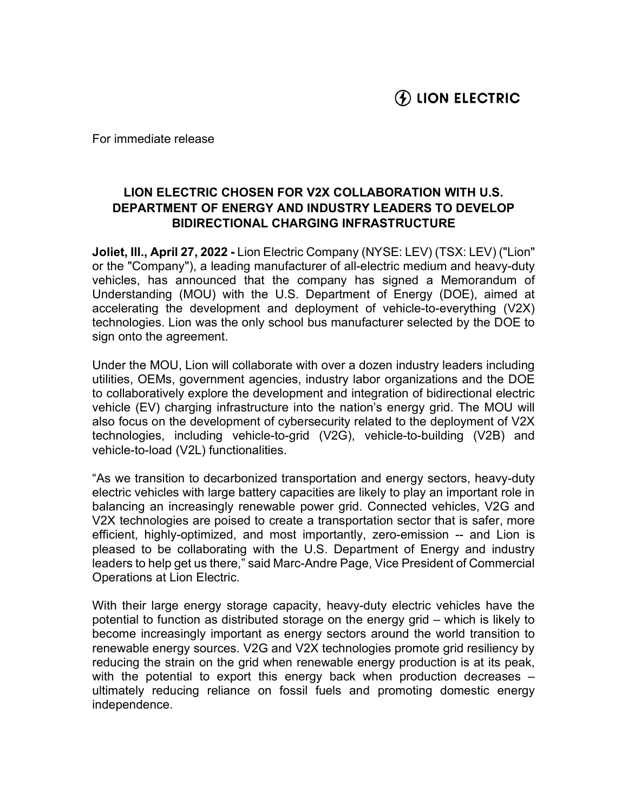For immediate release

## LION ELECTRIC CHOSEN FOR V2X COLLABORATION WITH U.S. DEPARTMENT OF ENERGY AND INDUSTRY LEADERS TO DEVELOP BIDIRECTIONAL CHARGING INFRASTRUCTURE

Joliet, Ill., April 27, 2022 - Lion Electric Company (NYSE: LEV) (TSX: LEV) ("Lion" or the "Company"), a leading manufacturer of all-electric medium and heavy-duty vehicles, has announced that the company has signed a Memorandum of Understanding (MOU) with the U.S. Department of Energy (DOE), aimed at accelerating the development and deployment of vehicle-to-everything (V2X) technologies. Lion was the only school bus manufacturer selected by the DOE to sign onto the agreement.

Under the MOU, Lion will collaborate with over a dozen industry leaders including utilities, OEMs, government agencies, industry labor organizations and the DOE to collaboratively explore the development and integration of bidirectional electric vehicle (EV) charging infrastructure into the nation's energy grid. The MOU will also focus on the development of cybersecurity related to the deployment of V2X technologies, including vehicle-to-grid (V2G), vehicle-to-building (V2B) and vehicle-to-load (V2L) functionalities.

"As we transition to decarbonized transportation and energy sectors, heavy-duty electric vehicles with large battery capacities are likely to play an important role in balancing an increasingly renewable power grid. Connected vehicles, V2G and V2X technologies are poised to create a transportation sector that is safer, more efficient, highly-optimized, and most importantly, zero-emission -- and Lion is pleased to be collaborating with the U.S. Department of Energy and industry leaders to help get us there," said Marc-Andre Page, Vice President of Commercial Operations at Lion Electric.

With their large energy storage capacity, heavy-duty electric vehicles have the potential to function as distributed storage on the energy grid – which is likely to become increasingly important as energy sectors around the world transition to renewable energy sources. V2G and V2X technologies promote grid resiliency by reducing the strain on the grid when renewable energy production is at its peak, with the potential to export this energy back when production decreases – ultimately reducing reliance on fossil fuels and promoting domestic energy independence.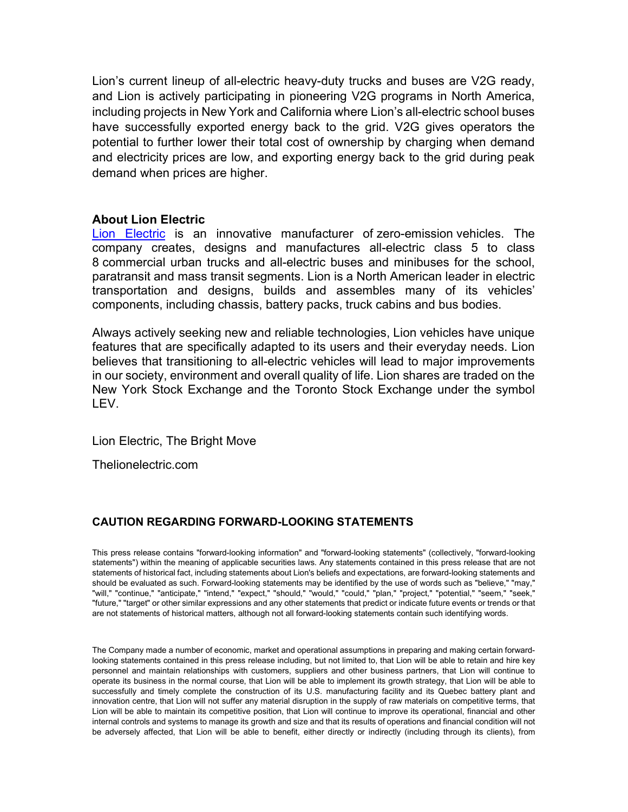Lion's current lineup of all-electric heavy-duty trucks and buses are V2G ready, and Lion is actively participating in pioneering V2G programs in North America, including projects in New York and California where Lion's all-electric school buses have successfully exported energy back to the grid. V2G gives operators the potential to further lower their total cost of ownership by charging when demand and electricity prices are low, and exporting energy back to the grid during peak demand when prices are higher.

## About Lion Electric

Lion Electric is an innovative manufacturer of zero-emission vehicles. The company creates, designs and manufactures all-electric class 5 to class 8 commercial urban trucks and all-electric buses and minibuses for the school, paratransit and mass transit segments. Lion is a North American leader in electric transportation and designs, builds and assembles many of its vehicles' components, including chassis, battery packs, truck cabins and bus bodies.

Always actively seeking new and reliable technologies, Lion vehicles have unique features that are specifically adapted to its users and their everyday needs. Lion believes that transitioning to all-electric vehicles will lead to major improvements in our society, environment and overall quality of life. Lion shares are traded on the New York Stock Exchange and the Toronto Stock Exchange under the symbol LEV.

Lion Electric, The Bright Move

Thelionelectric.com

## CAUTION REGARDING FORWARD-LOOKING STATEMENTS

This press release contains "forward-looking information" and "forward-looking statements" (collectively, "forward-looking statements") within the meaning of applicable securities laws. Any statements contained in this press release that are not statements of historical fact, including statements about Lion's beliefs and expectations, are forward-looking statements and should be evaluated as such. Forward-looking statements may be identified by the use of words such as "believe," "may," "will," "continue," "anticipate," "intend," "expect," "should," "would," "could," "plan," "project," "potential," "seem," "seek," "future," "target" or other similar expressions and any other statements that predict or indicate future events or trends or that are not statements of historical matters, although not all forward-looking statements contain such identifying words.

The Company made a number of economic, market and operational assumptions in preparing and making certain forwardlooking statements contained in this press release including, but not limited to, that Lion will be able to retain and hire key personnel and maintain relationships with customers, suppliers and other business partners, that Lion will continue to operate its business in the normal course, that Lion will be able to implement its growth strategy, that Lion will be able to successfully and timely complete the construction of its U.S. manufacturing facility and its Quebec battery plant and innovation centre, that Lion will not suffer any material disruption in the supply of raw materials on competitive terms, that Lion will be able to maintain its competitive position, that Lion will continue to improve its operational, financial and other internal controls and systems to manage its growth and size and that its results of operations and financial condition will not be adversely affected, that Lion will be able to benefit, either directly or indirectly (including through its clients), from